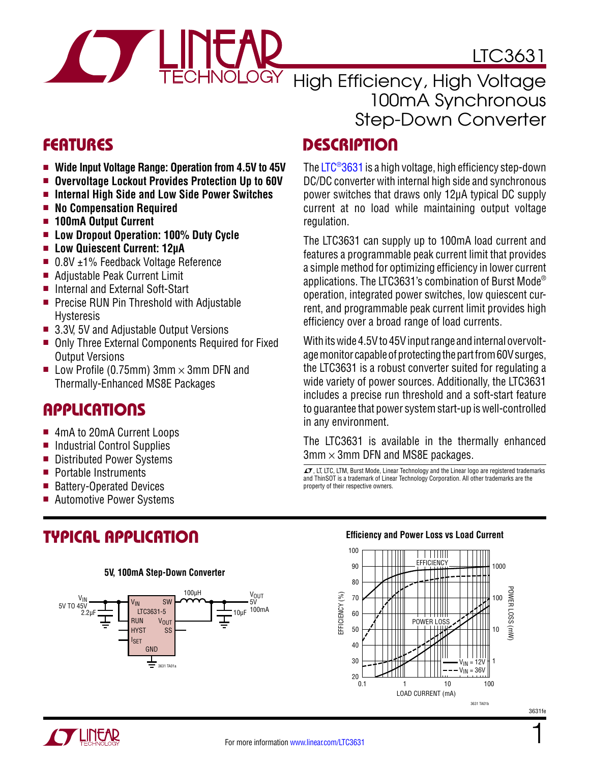

LTC3631

### High Efficiency, High Voltage 100mA Synchronous Step-Down Converter

# **FEATURES**

- Wide Input Voltage Range: Operation from 4.5V to 45V
- **n** Overvoltage Lockout Provides Protection Up to 60V
- $\blacksquare$  Internal High Side and Low Side Power Switches
- No Compensation Required
- **n** 100mA Output Current
- **E** Low Dropout Operation: 100% Duty Cycle
- Low Quiescent Current: 12µA
- $\blacksquare$  0.8V  $\pm$ 1% Feedback Voltage Reference
- Adjustable Peak Current Limit
- Internal and External Soft-Start
- $\blacksquare$  Precise RUN Pin Threshold with Adjustable Hysteresis
- $\blacksquare$  3.3V, 5V and Adjustable Output Versions
- Only Three External Components Required for Fixed Output Versions
- Low Profile (0.75mm) 3mm  $\times$  3mm DFN and Thermally-Enhanced MS8E Packages

### Applications

- 4mA to 20mA Current Loops
- Industrial Control Supplies
- **n** Distributed Power Systems
- $\blacksquare$  Portable Instruments
- **Battery-Operated Devices**
- Automotive Power Systems

# Typical Application

#### **5V, 100mA Step-Down Converter**



# **DESCRIPTION**

The [LTC®3631](http://www.linear.com/LTC3631) is a high voltage, high efficiency step-down DC/DC converter with internal high side and synchronous power switches that draws only 12μA typical DC supply current at no load while maintaining output voltage regulation.

The LTC3631 can supply up to 100mA load current and features a programmable peak current limit that provides a simple method for optimizing efficiency in lower current applications. The LTC3631's combination of Burst Mode® operation, integrated power switches, low quiescent current, and programmable peak current limit provides high efficiency over a broad range of load currents.

With its wide 4.5V to 45V input range and internal overvoltage monitor capable of protecting the part from 60V surges, the LTC3631 is a robust converter suited for regulating a wide variety of power sources. Additionally, the LTC3631 includes a precise run threshold and a soft-start feature to guarantee that power system start-up is well-controlled in any environment.

The LTC3631 is available in the thermally enhanced  $3$ mm  $\times$  3mm DFN and MS8E packages.

 $LT$ , LT, LTC, LTM, Burst Mode, Linear Technology and the Linear logo are registered trademarks and ThinSOT is a trademark of Linear Technology Corporation. All other trademarks are the property of their respective owners.

#### **Efficiency and Power Loss vs Load Current**

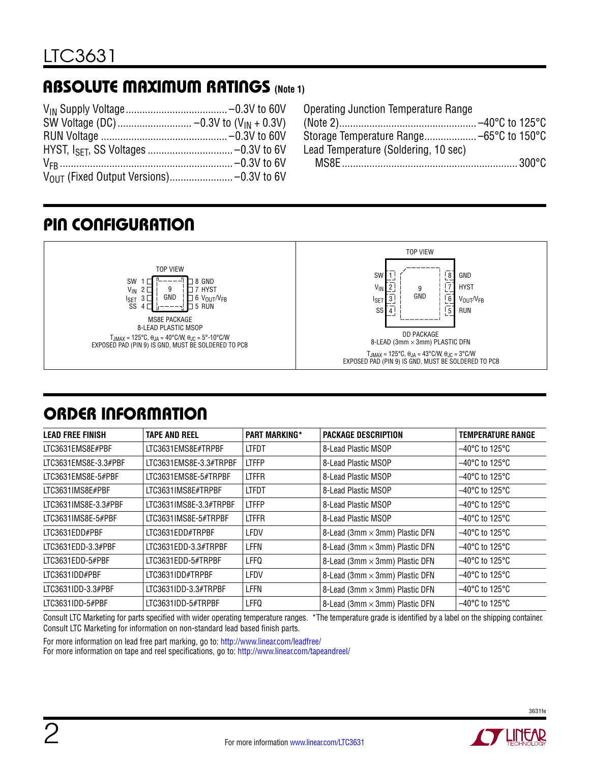# Absolute Maximum Ratings **(Note 1)**

| Operating Junction Temperature Range |  |
|--------------------------------------|--|
|                                      |  |
|                                      |  |
| Lead Temperature (Soldering, 10 sec) |  |
|                                      |  |

# Pin Configuration



# order information

| <b>LEAD FREE FINISH</b> | <b>TAPE AND REEL</b>   | <b>PART MARKING*</b> | <b>PACKAGE DESCRIPTION</b>     | <b>TEMPERATURE RANGE</b>            |
|-------------------------|------------------------|----------------------|--------------------------------|-------------------------------------|
| LTC3631EMS8E#PBF        | LTC3631EMS8E#TRPBF     | <b>LTFDT</b>         | 8-Lead Plastic MSOP            | $-40^{\circ}$ C to 125 $^{\circ}$ C |
| LTC3631EMS8E-3.3#PBF    | LTC3631EMS8E-3.3#TRPBF | <b>LTFFP</b>         | 8-Lead Plastic MSOP            | $-40^{\circ}$ C to 125 $^{\circ}$ C |
| LTC3631EMS8E-5#PBF      | LTC3631EMS8E-5#TRPBF   | <b>LTFFR</b>         | 8-Lead Plastic MSOP            | $-40^{\circ}$ C to 125 $^{\circ}$ C |
| LTC3631IMS8E#PBF        | LTC3631IMS8E#TRPBF     | <b>LTFDT</b>         | 8-Lead Plastic MSOP            | $-40^{\circ}$ C to 125 $^{\circ}$ C |
| LTC3631IMS8E-3.3#PBF    | LTC3631IMS8E-3.3#TRPBF | <b>LTFFP</b>         | 8-Lead Plastic MSOP            | $-40^{\circ}$ C to 125 $^{\circ}$ C |
| LTC3631IMS8E-5#PBF      | LTC3631IMS8E-5#TRPBF   | <b>LTFFR</b>         | 8-Lead Plastic MSOP            | $-40^{\circ}$ C to 125 $^{\circ}$ C |
| LTC3631EDD#PBF          | LTC3631EDD#TRPBF       | LFDV                 | 8-Lead (3mm × 3mm) Plastic DFN | $-40^{\circ}$ C to 125 $^{\circ}$ C |
| LTC3631EDD-3.3#PBF      | LTC3631EDD-3.3#TRPBF   | LFFN                 | 8-Lead (3mm × 3mm) Plastic DFN | $-40^{\circ}$ C to 125 $^{\circ}$ C |
| LTC3631EDD-5#PBF        | LTC3631EDD-5#TRPBF     | LFFQ                 | 8-Lead (3mm × 3mm) Plastic DFN | $-40^{\circ}$ C to 125 $^{\circ}$ C |
| LTC3631IDD#PBF          | LTC3631IDD#TRPBF       | LFDV                 | 8-Lead (3mm × 3mm) Plastic DFN | $-40^{\circ}$ C to 125 $^{\circ}$ C |
| LTC3631IDD-3.3#PBF      | LTC3631IDD-3.3#TRPBF   | LFFN                 | 8-Lead (3mm × 3mm) Plastic DFN | $-40^{\circ}$ C to 125 $^{\circ}$ C |
| LTC3631IDD-5#PBF        | LTC3631IDD-5#TRPBF     | LFFQ                 | 8-Lead (3mm × 3mm) Plastic DFN | $-40^{\circ}$ C to 125 $^{\circ}$ C |

Consult LTC Marketing for parts specified with wider operating temperature ranges. \*The temperature grade is identified by a label on the shipping container. Consult LTC Marketing for information on non-standard lead based finish parts.

For more information on lead free part marking, go to: http://www.linear.com/leadfree/

For more information on tape and reel specifications, go to: http://www.linear.com/tapeandreel/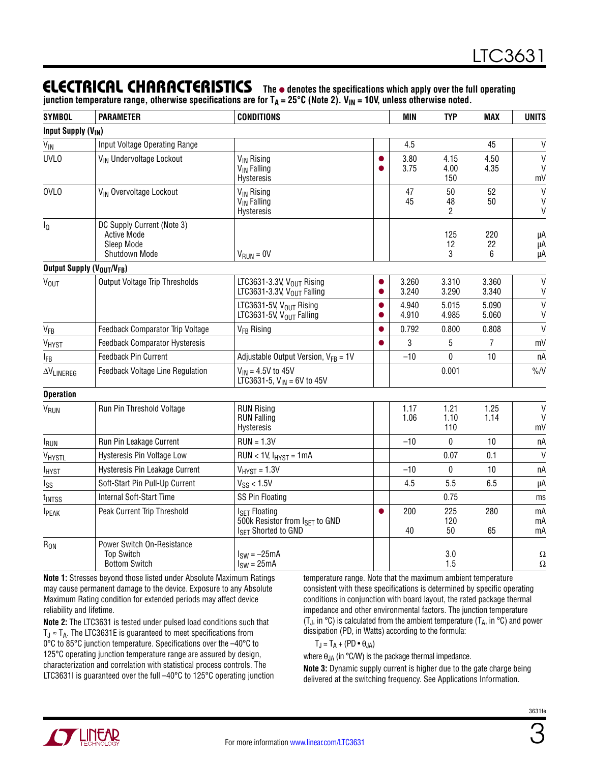### **ELECTRICAL CHARACTERISTICS** The  $\bullet$  denotes the specifications which apply over the full operating

junction temperature range, otherwise specifications are for T<sub>A</sub> = 25°C (Note 2). V<sub>IN</sub> = 10V, unless otherwise noted.

| <b>SYMBOL</b>                        | <b>PARAMETER</b>                                                                | <b>CONDITIONS</b>                                                                    |                | <b>MIN</b>     | <b>TYP</b>          | <b>MAX</b>     | <b>UNITS</b>                                 |
|--------------------------------------|---------------------------------------------------------------------------------|--------------------------------------------------------------------------------------|----------------|----------------|---------------------|----------------|----------------------------------------------|
| <b>Input Supply (V<sub>IN</sub>)</b> |                                                                                 |                                                                                      |                |                |                     |                |                                              |
| VIN                                  | Input Voltage Operating Range                                                   |                                                                                      |                | 4.5            |                     | 45             | $\mathsf{V}$                                 |
| <b>UVLO</b>                          | V <sub>IN</sub> Undervoltage Lockout                                            | V <sub>IN</sub> Rising<br>V <sub>IN</sub> Falling<br>Hysteresis                      | 0              | 3.80<br>3.75   | 4.15<br>4.00<br>150 | 4.50<br>4.35   | $\mathsf{V}$<br>$\mathsf{V}$<br>mV           |
| <b>OVLO</b>                          | V <sub>IN</sub> Overvoltage Lockout                                             | V <sub>IN</sub> Rising<br>V <sub>IN</sub> Falling<br><b>Hysteresis</b>               |                | 47<br>45       | 50<br>48<br>2       | 52<br>50       | $\mathsf{V}$<br>$\mathsf{V}$<br>$\mathsf{V}$ |
| $I_{\mathbb{Q}}$                     | DC Supply Current (Note 3)<br><b>Active Mode</b><br>Sleep Mode<br>Shutdown Mode | $V_{RIIN} = 0V$                                                                      |                |                | 125<br>12<br>3      | 220<br>22<br>6 | μA<br>μA<br>μA                               |
| Output Supply (VOUT/VFB)             |                                                                                 |                                                                                      |                |                |                     |                |                                              |
| <b>V<sub>OUT</sub></b>               | Output Voltage Trip Thresholds                                                  | LTC3631-3.3V, V <sub>OUT</sub> Rising<br>LTC3631-3.3V, $V_{OUT}$ Falling             | $\bullet$      | 3.260<br>3.240 | 3.310<br>3.290      | 3.360<br>3.340 | $\mathsf{V}$<br>$\mathsf{V}$                 |
|                                      |                                                                                 | LTC3631-5V, $V_{OIII}$ Rising<br>LTC3631-5V, V <sub>OUT</sub> Falling                | O<br>$\bullet$ | 4.940<br>4.910 | 5.015<br>4.985      | 5.090<br>5.060 | $\mathsf{V}$<br>V                            |
| <b>V<sub>FB</sub></b>                | Feedback Comparator Trip Voltage                                                | V <sub>FB</sub> Rising                                                               | $\bullet$      | 0.792          | 0.800               | 0.808          | $\mathsf{V}$                                 |
| $V_{H YST}$                          | Feedback Comparator Hysteresis                                                  |                                                                                      | $\bullet$      | 3              | 5                   | 7              | mV                                           |
| IFB                                  | Feedback Pin Current                                                            | Adjustable Output Version, $V_{FB} = 1V$                                             |                | $-10$          | 0                   | 10             | nA                                           |
| $\Delta V_{LINEREG}$                 | Feedback Voltage Line Regulation                                                | $V_{IN} = 4.5V$ to 45V<br>LTC3631-5, $V_{IN}$ = 6V to 45V                            |                |                | 0.001               |                | $\%N$                                        |
| <b>Operation</b>                     |                                                                                 |                                                                                      |                |                |                     |                |                                              |
| V <sub>RUN</sub>                     | Run Pin Threshold Voltage                                                       | <b>RUN Rising</b><br><b>RUN Falling</b><br>Hysteresis                                |                | 1.17<br>1.06   | 1.21<br>1.10<br>110 | 1.25<br>1.14   | $\mathsf{V}$<br>$\vee$<br>mV                 |
| <b>IRUN</b>                          | Run Pin Leakage Current                                                         | $RUN = 1.3V$                                                                         |                | $-10$          | 0                   | 10             | nA                                           |
| VHYSTL                               | Hysteresis Pin Voltage Low                                                      | $RUN < 1V, IHYST = 1mA$                                                              |                |                | 0.07                | 0.1            | $\mathsf{V}$                                 |
| <b>I</b> <sub>HYST</sub>             | Hysteresis Pin Leakage Current                                                  | $V_{H YST} = 1.3V$                                                                   |                | $-10$          | 0                   | 10             | nA                                           |
| I <sub>SS</sub>                      | Soft-Start Pin Pull-Up Current                                                  | $V_{SS}$ < 1.5V                                                                      |                | 4.5            | 5.5                 | 6.5            | μA                                           |
| <b>TINTSS</b>                        | Internal Soft-Start Time                                                        | SS Pin Floating                                                                      |                |                | 0.75                |                | ms                                           |
| <b>I</b> PEAK                        | Peak Current Trip Threshold                                                     | $ISFT$ Floating<br>500k Resistor from ISET to GND<br>I <sub>SET</sub> Shorted to GND | 0              | 200<br>40      | 225<br>120<br>50    | 280<br>65      | mA<br>mA<br>mA                               |
| $R_{ON}$                             | Power Switch On-Resistance<br><b>Top Switch</b><br><b>Bottom Switch</b>         | $I_{SW} = -25mA$<br>$ISW = 25mA$                                                     |                |                | 3.0<br>1.5          |                | $\Omega$<br>$\Omega$                         |

**Note 1:** Stresses beyond those listed under Absolute Maximum Ratings may cause permanent damage to the device. Exposure to any Absolute Maximum Rating condition for extended periods may affect device reliability and lifetime.

**Note 2:** The LTC3631 is tested under pulsed load conditions such that  $T_J \approx T_A$ . The LTC3631E is guaranteed to meet specifications from 0°C to 85°C junction temperature. Specifications over the –40°C to 125°C operating junction temperature range are assured by design, characterization and correlation with statistical process controls. The LTC3631I is guaranteed over the full –40°C to 125°C operating junction temperature range. Note that the maximum ambient temperature consistent with these specifications is determined by specific operating conditions in conjunction with board layout, the rated package thermal impedance and other environmental factors. The junction temperature (T<sub>J</sub>, in  $^{\circ}$ C) is calculated from the ambient temperature (T<sub>A</sub>, in  $^{\circ}$ C) and power dissipation (PD, in Watts) according to the formula:

$$
T_J = T_A + (PD \bullet \theta_{JA})
$$

where  $\theta_{JA}$  (in °C/W) is the package thermal impedance.

**Note 3:** Dynamic supply current is higher due to the gate charge being delivered at the switching frequency. See Applications Information.

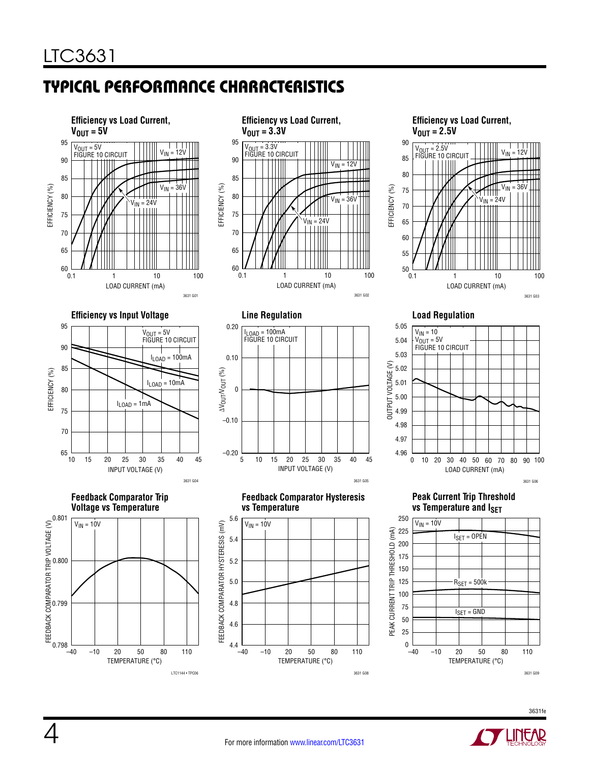# Typical Performance Characteristics



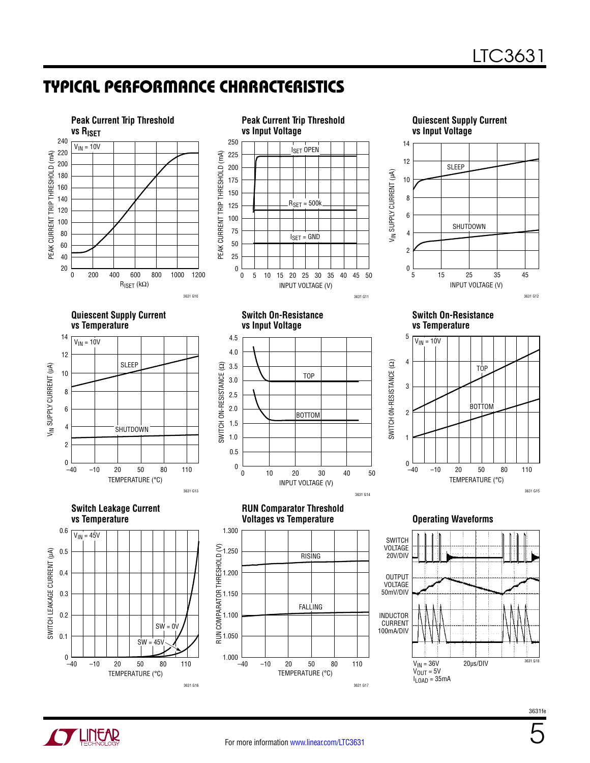## Typical Performance Characteristics





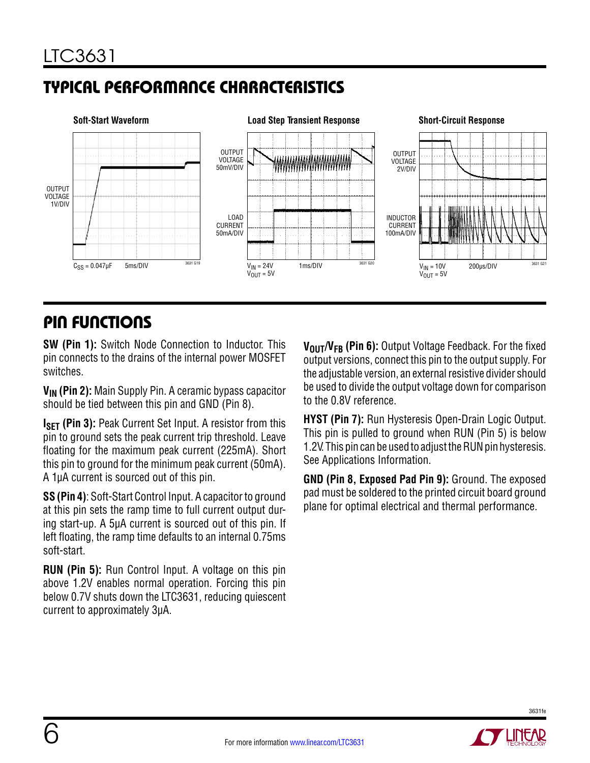# Typical Performance Characteristics



### Pin Functions

**SW (Pin 1):** Switch Node Connection to Inductor. This pin connects to the drains of the internal power MOSFET switches.

**VIN (Pin 2):** Main Supply Pin. A ceramic bypass capacitor should be tied between this pin and GND (Pin 8).

**ISFT (Pin 3):** Peak Current Set Input. A resistor from this pin to ground sets the peak current trip threshold. Leave floating for the maximum peak current (225mA). Short this pin to ground for the minimum peak current (50mA). A 1µA current is sourced out of this pin.

**SS (Pin 4)**: Soft-Start Control Input. A capacitor to ground at this pin sets the ramp time to full current output during start-up. A 5µA current is sourced out of this pin. If left floating, the ramp time defaults to an internal 0.75ms soft-start.

**RUN (Pin 5):** Run Control Input. A voltage on this pin above 1.2V enables normal operation. Forcing this pin below 0.7V shuts down the LTC3631, reducing quiescent current to approximately 3µA.

**VOUT/VFB** (Pin 6): Output Voltage Feedback. For the fixed output versions, connect this pin to the output supply. For the adjustable version, an external resistive divider should be used to divide the output voltage down for comparison to the 0.8V reference.

**HYST (Pin 7):** Run Hysteresis Open-Drain Logic Output. This pin is pulled to ground when RUN (Pin 5) is below 1.2V. This pin can be used to adjust the RUN pin hysteresis. See Applications Information.

**GND (Pin 8, Exposed Pad Pin 9):** Ground. The exposed pad must be soldered to the printed circuit board ground plane for optimal electrical and thermal performance.

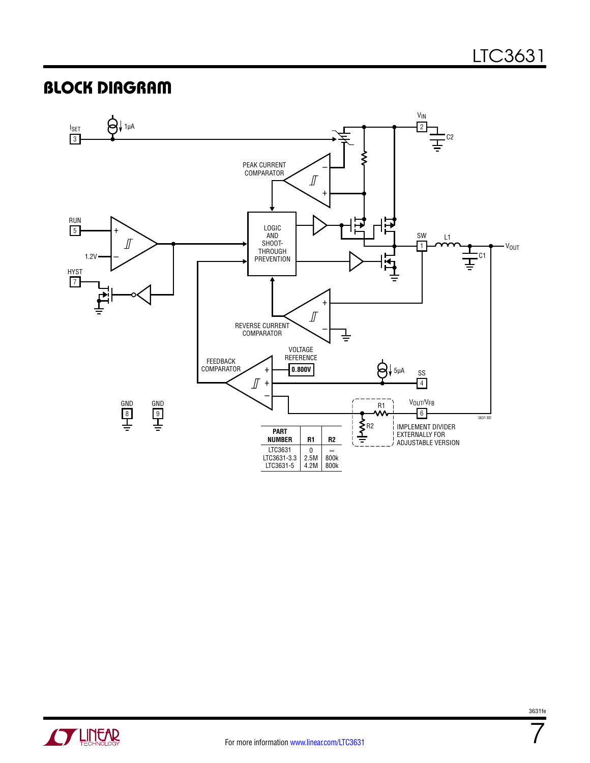### Block Diagram





For more information [www.linear.com/LTC3631](http://www.linear.com/LTC3631)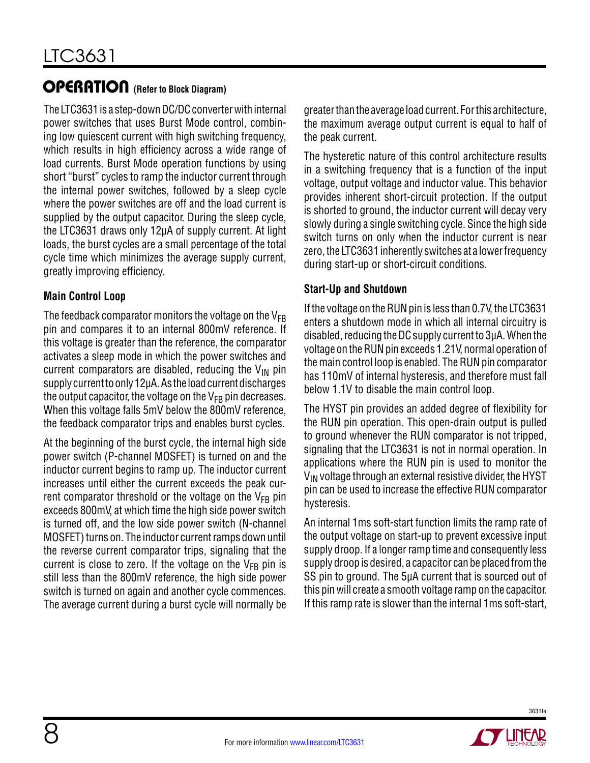### **OPERATION** (Refer to Block Diagram)

The LTC3631 is a step-down DC/DC converter with internal power switches that uses Burst Mode control, combining low quiescent current with high switching frequency, which results in high efficiency across a wide range of load currents. Burst Mode operation functions by using short "burst" cycles to ramp the inductor current through the internal power switches, followed by a sleep cycle where the power switches are off and the load current is supplied by the output capacitor. During the sleep cycle, the LTC3631 draws only 12µA of supply current. At light loads, the burst cycles are a small percentage of the total cycle time which minimizes the average supply current, greatly improving efficiency.

#### **Main Control Loop**

The feedback comparator monitors the voltage on the  $V_{FB}$ pin and compares it to an internal 800mV reference. If this voltage is greater than the reference, the comparator activates a sleep mode in which the power switches and current comparators are disabled, reducing the  $V_{\text{IN}}$  pin supply current to only 12µA. As the load current discharges the output capacitor, the voltage on the  $V_{FB}$  pin decreases. When this voltage falls 5mV below the 800mV reference, the feedback comparator trips and enables burst cycles.

At the beginning of the burst cycle, the internal high side power switch (P-channel MOSFET) is turned on and the inductor current begins to ramp up. The inductor current increases until either the current exceeds the peak current comparator threshold or the voltage on the  $V_{FB}$  pin exceeds 800mV, at which time the high side power switch is turned off, and the low side power switch (N-channel MOSFET) turns on. The inductor current ramps down until the reverse current comparator trips, signaling that the current is close to zero. If the voltage on the  $V_{FB}$  pin is still less than the 800mV reference, the high side power switch is turned on again and another cycle commences. The average current during a burst cycle will normally be

greater than the average load current. For this architecture, the maximum average output current is equal to half of the peak current.

The hysteretic nature of this control architecture results in a switching frequency that is a function of the input voltage, output voltage and inductor value. This behavior provides inherent short-circuit protection. If the output is shorted to ground, the inductor current will decay very slowly during a single switching cycle. Since the high side switch turns on only when the inductor current is near zero, the LTC3631 inherently switches at a lower frequency during start-up or short-circuit conditions.

#### **Start-Up and Shutdown**

If the voltage on the RUN pin is less than 0.7V, the LTC3631 enters a shutdown mode in which all internal circuitry is disabled, reducing the DC supply current to 3µA. When the voltage on the RUN pin exceeds 1.21V, normal operation of the main control loop is enabled. The RUN pin comparator has 110mV of internal hysteresis, and therefore must fall below 1.1V to disable the main control loop.

The HYST pin provides an added degree of flexibility for the RUN pin operation. This open-drain output is pulled to ground whenever the RUN comparator is not tripped, signaling that the LTC3631 is not in normal operation. In applications where the RUN pin is used to monitor the  $V_{IN}$  voltage through an external resistive divider, the HYST pin can be used to increase the effective RUN comparator hysteresis.

An internal 1ms soft-start function limits the ramp rate of the output voltage on start-up to prevent excessive input supply droop. If a longer ramp time and consequently less supply droop is desired, a capacitor can be placed from the SS pin to ground. The 5µA current that is sourced out of this pin will create a smooth voltage ramp on the capacitor. If this ramp rate is slower than the internal 1ms soft-start,

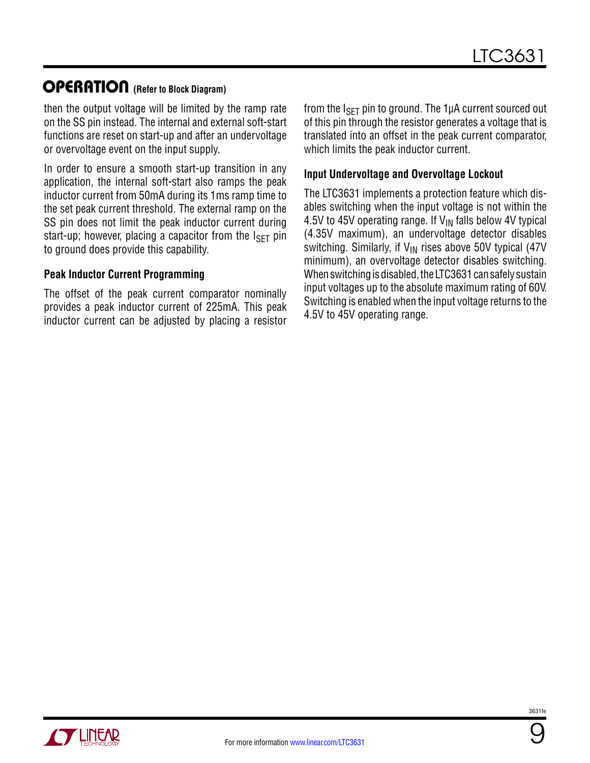### **OPERATION** (Refer to Block Diagram)

then the output voltage will be limited by the ramp rate on the SS pin instead. The internal and external soft-start functions are reset on start-up and after an undervoltage or overvoltage event on the input supply.

In order to ensure a smooth start-up transition in any application, the internal soft-start also ramps the peak inductor current from 50mA during its 1ms ramp time to the set peak current threshold. The external ramp on the SS pin does not limit the peak inductor current during start-up; however, placing a capacitor from the  $I_{\rm SFT}$  pin to ground does provide this capability.

#### **Peak Inductor Current Programming**

The offset of the peak current comparator nominally provides a peak inductor current of 225mA. This peak inductor current can be adjusted by placing a resistor from the  $I_{\text{SFT}}$  pin to ground. The 1µA current sourced out of this pin through the resistor generates a voltage that is translated into an offset in the peak current comparator, which limits the peak inductor current.

#### **Input Undervoltage and Overvoltage Lockout**

The LTC3631 implements a protection feature which disables switching when the input voltage is not within the 4.5V to 45V operating range. If  $V_{IN}$  falls below 4V typical (4.35V maximum), an undervoltage detector disables switching. Similarly, if  $V_{IN}$  rises above 50V typical (47V minimum), an overvoltage detector disables switching. When switching is disabled, the LTC3631 can safely sustain input voltages up to the absolute maximum rating of 60V. Switching is enabled when the input voltage returns to the 4.5V to 45V operating range.



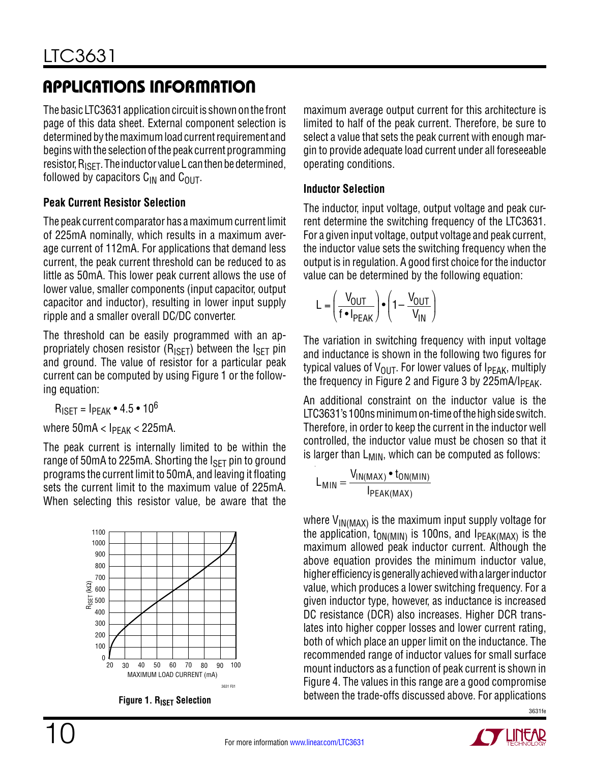The basic LTC3631 application circuit is shown on the front page of this data sheet. External component selection is determined by the maximum load current requirement and begins with the selection of the peak current programming resistor,  $R_{\text{ISFT}}$ . The inductor value L can then be determined, followed by capacitors  $C_{IN}$  and  $C_{OUT}$ .

### **Peak Current Resistor Selection**

The peak current comparator has a maximum current limit of 225mA nominally, which results in a maximum average current of 112mA. For applications that demand less current, the peak current threshold can be reduced to as little as 50mA. This lower peak current allows the use of lower value, smaller components (input capacitor, output capacitor and inductor), resulting in lower input supply ripple and a smaller overall DC/DC converter.

The threshold can be easily programmed with an appropriately chosen resistor ( $R_{\text{ISET}}$ ) between the  $I_{\text{SET}}$  pin and ground. The value of resistor for a particular peak current can be computed by using Figure 1 or the following equation:

 $R_{\text{ISFT}} = I_{\text{PFAK}} \cdot 4.5 \cdot 10^6$ 

where  $50mA < I_{PEAK} < 225mA$ .

The peak current is internally limited to be within the range of 50mA to 225mA. Shorting the  $I_{\text{SFT}}$  pin to ground programs the current limit to 50mA, and leaving it floating sets the current limit to the maximum value of 225mA. When selecting this resistor value, be aware that the





maximum average output current for this architecture is limited to half of the peak current. Therefore, be sure to select a value that sets the peak current with enough margin to provide adequate load current under all foreseeable operating conditions.

#### **Inductor Selection**

The inductor, input voltage, output voltage and peak current determine the switching frequency of the LTC3631. For a given input voltage, output voltage and peak current, the inductor value sets the switching frequency when the output is in regulation. A good first choice for the inductor value can be determined by the following equation:

$$
L = \left(\frac{V_{OUT}}{f \bullet I_{PEAK}}\right) \bullet \left(1 - \frac{V_{OUT}}{V_{IN}}\right)
$$

The variation in switching frequency with input voltage and inductance is shown in the following two figures for typical values of  $V_{\text{OUT}}$ . For lower values of I<sub>PEAK</sub>, multiply the frequency in Figure 2 and Figure 3 by  $225 \text{mA/l}_{\text{PFAK}}$ .

An additional constraint on the inductor value is the LTC3631's 100ns minimum on-time of the high side switch. Therefore, in order to keep the current in the inductor well controlled, the inductor value must be chosen so that it is larger than  $L_{MIN}$ , which can be computed as follows:

$$
L_{MIN} = \frac{V_{IN(MAX)} \cdot t_{ON(MIN)}}{I_{PEAK(MAX)}}
$$

where  $V_{IN(MAX)}$  is the maximum input supply voltage for the application,  $t_{ON(MIN)}$  is 100ns, and  $I_{PEAK(MAX)}$  is the maximum allowed peak inductor current. Although the above equation provides the minimum inductor value, higher efficiency is generally achieved with a larger inductor value, which produces a lower switching frequency. For a given inductor type, however, as inductance is increased DC resistance (DCR) also increases. Higher DCR translates into higher copper losses and lower current rating, both of which place an upper limit on the inductance. The recommended range of inductor values for small surface mount inductors as a function of peak current is shown in Figure 4. The values in this range are a good compromise between the trade-offs discussed above. For applications

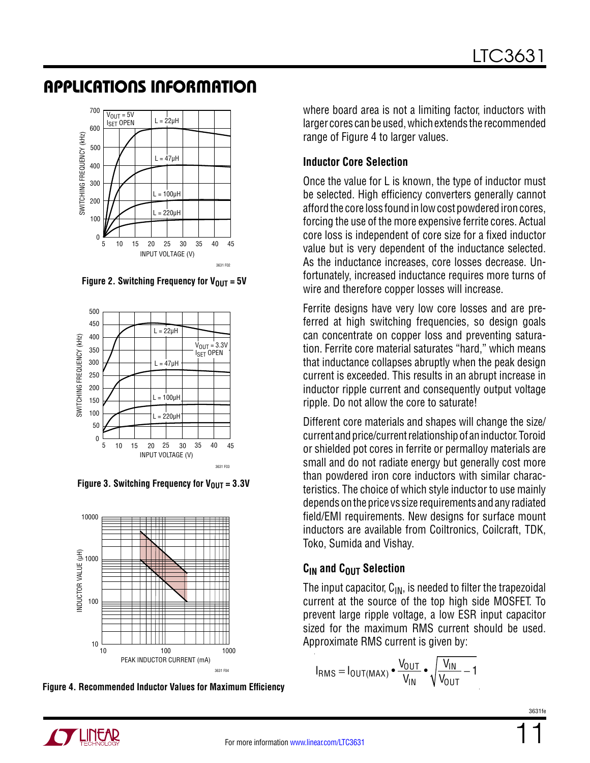

Figure 2. Switching Frequency for  $V_{\text{OUT}} = 5V$ 



Figure 3. Switching Frequency for  $V_{OIII} = 3.3V$ 



**Figure 4. Recommended Inductor Values for Maximum Efficiency**

where board area is not a limiting factor, inductors with larger cores can be used, which extends the recommended range of Figure 4 to larger values.

### **Inductor Core Selection**

Once the value for L is known, the type of inductor must be selected. High efficiency converters generally cannot afford the core loss found in low cost powdered iron cores, forcing the use of the more expensive ferrite cores. Actual core loss is independent of core size for a fixed inductor value but is very dependent of the inductance selected. As the inductance increases, core losses decrease. Unfortunately, increased inductance requires more turns of wire and therefore copper losses will increase.

Ferrite designs have very low core losses and are preferred at high switching frequencies, so design goals can concentrate on copper loss and preventing saturation. Ferrite core material saturates "hard," which means that inductance collapses abruptly when the peak design current is exceeded. This results in an abrupt increase in inductor ripple current and consequently output voltage ripple. Do not allow the core to saturate!

Different core materials and shapes will change the size/ current and price/current relationship of an inductor. Toroid or shielded pot cores in ferrite or permalloy materials are small and do not radiate energy but generally cost more than powdered iron core inductors with similar characteristics. The choice of which style inductor to use mainly depends on the price vs size requirements and any radiated field/EMI requirements. New designs for surface mount inductors are available from Coiltronics, Coilcraft, TDK, Toko, Sumida and Vishay.

### $C<sub>IN</sub>$  and  $C<sub>OUT</sub>$  Selection

The input capacitor,  $C_{IN}$ , is needed to filter the trapezoidal current at the source of the top high side MOSFET. To prevent large ripple voltage, a low ESR input capacitor sized for the maximum RMS current should be used. Approximate RMS current is given by:

$$
I_{RMS} = I_{OUT(MAX)} \bullet \frac{V_{OUT}}{V_{IN}} \bullet \sqrt{\frac{V_{IN}}{V_{OUT}} - 1}
$$

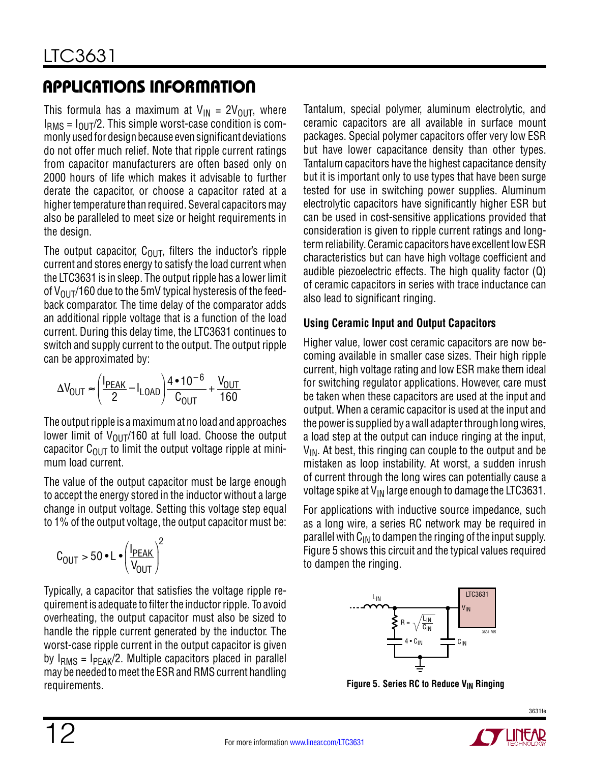This formula has a maximum at  $V_{IN} = 2V_{OIII}$ , where  $I<sub>RMS</sub> = I<sub>OIII</sub>/2$ . This simple worst-case condition is commonly used for design because even significant deviations do not offer much relief. Note that ripple current ratings from capacitor manufacturers are often based only on 2000 hours of life which makes it advisable to further derate the capacitor, or choose a capacitor rated at a higher temperature than required. Several capacitors may also be paralleled to meet size or height requirements in the design.

The output capacitor,  $C_{\text{OUT}}$ , filters the inductor's ripple current and stores energy to satisfy the load current when the LTC3631 is in sleep. The output ripple has a lower limit of  $V_{\text{OUT}}/160$  due to the 5mV typical hysteresis of the feedback comparator. The time delay of the comparator adds an additional ripple voltage that is a function of the load current. During this delay time, the LTC3631 continues to switch and supply current to the output. The output ripple can be approximated by:

$$
\Delta V_{\text{OUT}} \approx \left(\frac{I_{\text{PEAK}}}{2} - I_{\text{LOAD}}\right) \frac{4 \cdot 10^{-6}}{C_{\text{OUT}}} + \frac{V_{\text{OUT}}}{160}
$$

The output ripple is a maximum at no load and approaches lower limit of  $V_{\text{OUT}}/160$  at full load. Choose the output capacitor  $C_{\text{OUT}}$  to limit the output voltage ripple at minimum load current.

The value of the output capacitor must be large enough to accept the energy stored in the inductor without a large change in output voltage. Setting this voltage step equal to 1% of the output voltage, the output capacitor must be:

$$
C_{\text{OUT}} > 50 \cdot L \cdot \left(\frac{I_{\text{PEAK}}}{V_{\text{OUT}}}\right)^2
$$

Typically, a capacitor that satisfies the voltage ripple requirement is adequate to filter the inductor ripple. To avoid overheating, the output capacitor must also be sized to handle the ripple current generated by the inductor. The worst-case ripple current in the output capacitor is given by  $I<sub>RMS</sub> = I<sub>PFAK</sub>/2$ . Multiple capacitors placed in parallel may be needed to meet the ESR and RMS current handling requirements.

Tantalum, special polymer, aluminum electrolytic, and ceramic capacitors are all available in surface mount packages. Special polymer capacitors offer very low ESR but have lower capacitance density than other types. Tantalum capacitors have the highest capacitance density but it is important only to use types that have been surge tested for use in switching power supplies. Aluminum electrolytic capacitors have significantly higher ESR but can be used in cost-sensitive applications provided that consideration is given to ripple current ratings and longterm reliability. Ceramic capacitors have excellent low ESR characteristics but can have high voltage coefficient and audible piezoelectric effects. The high quality factor (Q) of ceramic capacitors in series with trace inductance can also lead to significant ringing.

#### **Using Ceramic Input and Output Capacitors**

Higher value, lower cost ceramic capacitors are now becoming available in smaller case sizes. Their high ripple current, high voltage rating and low ESR make them ideal for switching regulator applications. However, care must be taken when these capacitors are used at the input and output. When a ceramic capacitor is used at the input and the power is supplied by a wall adapter through long wires, a load step at the output can induce ringing at the input,  $V_{IN}$ . At best, this ringing can couple to the output and be mistaken as loop instability. At worst, a sudden inrush of current through the long wires can potentially cause a voltage spike at  $V_{IN}$  large enough to damage the LTC3631.

For applications with inductive source impedance, such as a long wire, a series RC network may be required in parallel with  $C_{IN}$  to dampen the ringing of the input supply. Figure 5 shows this circuit and the typical values required to dampen the ringing.



**Figure 5. Series RC to Reduce V<sub>IN</sub> Ringing**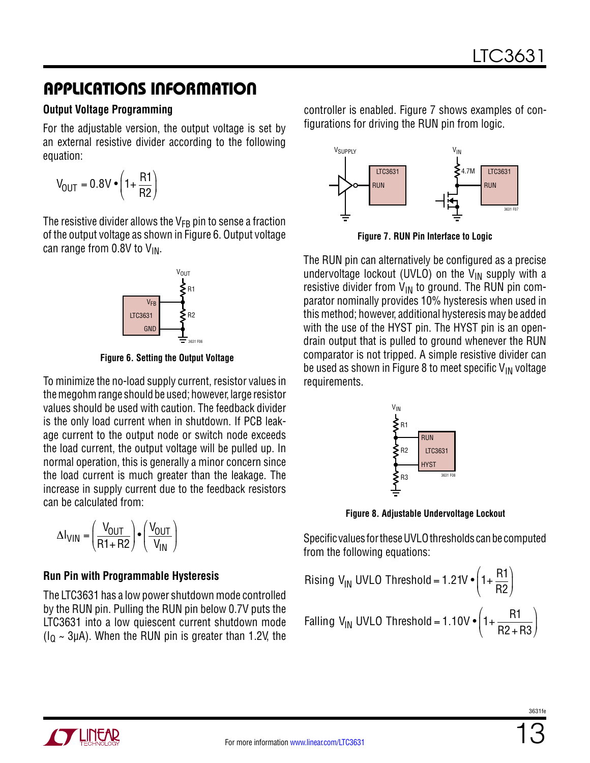#### **Output Voltage Programming**

For the adjustable version, the output voltage is set by an external resistive divider according to the following equation:

$$
V_{\text{OUT}} = 0.8 V \cdot \left(1 + \frac{R1}{R2}\right)
$$

The resistive divider allows the  $V_{FB}$  pin to sense a fraction of the output voltage as shown in Figure 6. Output voltage can range from  $0.8V$  to  $V_{IN}$ .



**Figure 6. Setting the Output Voltage**

To minimize the no-load supply current, resistor values in the megohm range should be used; however, large resistor values should be used with caution. The feedback divider is the only load current when in shutdown. If PCB leakage current to the output node or switch node exceeds the load current, the output voltage will be pulled up. In normal operation, this is generally a minor concern since the load current is much greater than the leakage. The increase in supply current due to the feedback resistors can be calculated from:

$$
\Delta I_{VIN} = \left(\frac{V_{OUT}}{R1 + R2}\right) \cdot \left(\frac{V_{OUT}}{V_{IN}}\right)
$$

#### **Run Pin with Programmable Hysteresis**

The LTC3631 has a low power shutdown mode controlled by the RUN pin. Pulling the RUN pin below 0.7V puts the LTC3631 into a low quiescent current shutdown mode  $(I<sub>0</sub> \sim 3\mu A)$ . When the RUN pin is greater than 1.2V, the

controller is enabled. Figure 7 shows examples of configurations for driving the RUN pin from logic.



**Figure 7. RUN Pin Interface to Logic**

The RUN pin can alternatively be configured as a precise undervoltage lockout (UVLO) on the  $V_{IN}$  supply with a resistive divider from  $V_{IN}$  to ground. The RUN pin comparator nominally provides 10% hysteresis when used in this method; however, additional hysteresis may be added with the use of the HYST pin. The HYST pin is an opendrain output that is pulled to ground whenever the RUN comparator is not tripped. A simple resistive divider can be used as shown in Figure 8 to meet specific  $V_{IN}$  voltage requirements.



**Figure 8. Adjustable Undervoltage Lockout**

Specific values for these UVLO thresholds can be computed from the following equations:

Rising V<sub>IN</sub> UVLO Threshold = 1.21V 
$$
\bullet \left(1 + \frac{R1}{R2}\right)
$$
  
Falling V<sub>IN</sub> UVLO Threshold = 1.10V  $\bullet \left(1 + \frac{R1}{R2 + R3}\right)$ 

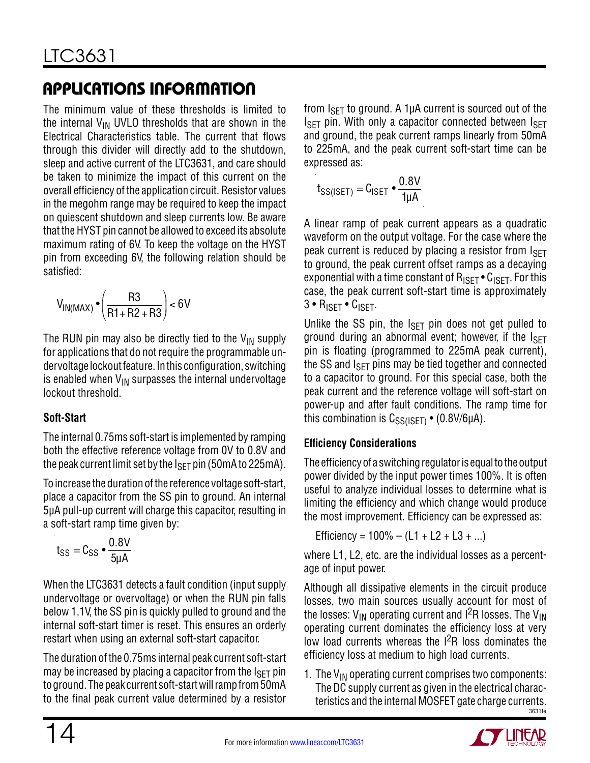The minimum value of these thresholds is limited to the internal  $V_{IN}$  UVLO thresholds that are shown in the Electrical Characteristics table. The current that flows through this divider will directly add to the shutdown, sleep and active current of the LTC3631, and care should be taken to minimize the impact of this current on the overall efficiency of the application circuit. Resistor values in the megohm range may be required to keep the impact on quiescent shutdown and sleep currents low. Be aware that the HYST pin cannot be allowed to exceed its absolute maximum rating of 6V. To keep the voltage on the HYST pin from exceeding 6V, the following relation should be satisfied:

$$
V_{IN(MAX)} \bullet \left(\frac{R3}{R1 + R2 + R3}\right) < 6V
$$

The RUN pin may also be directly tied to the  $V_{IN}$  supply for applications that do not require the programmable undervoltage lockout feature. In this configuration, switching is enabled when  $V_{IN}$  surpasses the internal undervoltage lockout threshold.

### **Soft-Start**

The internal 0.75ms soft-start is implemented by ramping both the effective reference voltage from 0V to 0.8V and the peak current limit set by the  $I_{\rm SFT}$  pin (50mA to 225mA).

To increase the duration of the reference voltage soft-start, place a capacitor from the SS pin to ground. An internal 5µA pull-up current will charge this capacitor, resulting in a soft-start ramp time given by:

$$
t_{SS} = C_{SS} \cdot \frac{0.8V}{5\mu A}
$$

When the LTC3631 detects a fault condition (input supply undervoltage or overvoltage) or when the RUN pin falls below 1.1V, the SS pin is quickly pulled to ground and the internal soft-start timer is reset. This ensures an orderly restart when using an external soft-start capacitor.

The duration of the 0.75ms internal peak current soft-start may be increased by placing a capacitor from the  $I_{\text{SET}}$  pin to ground. The peak current soft-start will ramp from 50mA to the final peak current value determined by a resistor

from  $I_{\text{SET}}$  to ground. A 1µA current is sourced out of the  $I_{\text{SET}}$  pin. With only a capacitor connected between  $I_{\text{SET}}$ and ground, the peak current ramps linearly from 50mA to 225mA, and the peak current soft-start time can be expressed as:

$$
t_{SS(ISET)} = C_{ISET} \bullet \frac{0.8V}{1\mu A}
$$

A linear ramp of peak current appears as a quadratic waveform on the output voltage. For the case where the peak current is reduced by placing a resistor from ISET to ground, the peak current offset ramps as a decaying exponential with a time constant of  $R_{\text{ISFT}} \cdot C_{\text{ISFT}}$ . For this case, the peak current soft-start time is approximately 3 • RISET • CISET.

Unlike the SS pin, the  $I_{\text{SFT}}$  pin does not get pulled to ground during an abnormal event; however, if the  $I_{\text{SFT}}$ pin is floating (programmed to 225mA peak current), the SS and  $I_{\text{SFT}}$  pins may be tied together and connected to a capacitor to ground. For this special case, both the peak current and the reference voltage will soft-start on power-up and after fault conditions. The ramp time for this combination is  $C_{SS(ISET)}$  • (0.8V/6µA).

#### **Efficiency Considerations**

The efficiency of a switching regulator is equal to the output power divided by the input power times 100%. It is often useful to analyze individual losses to determine what is limiting the efficiency and which change would produce the most improvement. Efficiency can be expressed as:

Efficiency =  $100\% - (L1 + L2 + L3 + ...)$ 

where L1, L2, etc. are the individual losses as a percentage of input power.

Although all dissipative elements in the circuit produce losses, two main sources usually account for most of the losses:  $V_{IN}$  operating current and  $I^2R$  losses. The  $V_{IN}$ operating current dominates the efficiency loss at very low load currents whereas the  $1^{2}R$  loss dominates the efficiency loss at medium to high load currents.

3631fe 1. The  $V_{IN}$  operating current comprises two components: The DC supply current as given in the electrical characteristics and the internal MOSFET gate charge currents.

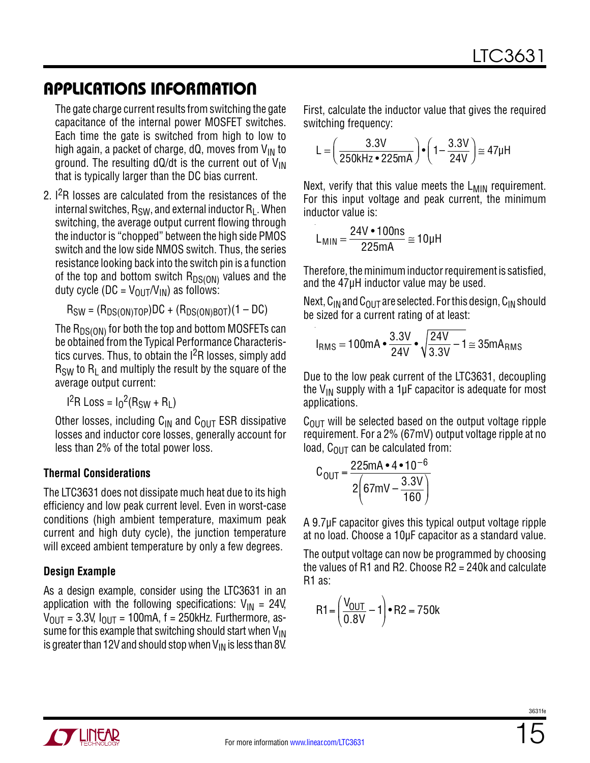The gate charge current results from switching the gate capacitance of the internal power MOSFET switches. Each time the gate is switched from high to low to high again, a packet of charge, dQ, moves from  $V_{IN}$  to ground. The resulting dQ/dt is the current out of  $V_{IN}$ that is typically larger than the DC bias current.

2. <sup>2</sup>R losses are calculated from the resistances of the internal switches,  $R_{SW}$ , and external inductor  $R_1$ . When switching, the average output current flowing through the inductor is "chopped" between the high side PMOS switch and the low side NMOS switch. Thus, the series resistance looking back into the switch pin is a function of the top and bottom switch  $R_{DS(ON)}$  values and the duty cycle (DC =  $V_{\text{OUT}}/V_{\text{IN}}$ ) as follows:

$$
R_{SW} = (R_{DS(ON)TOP})DC + (R_{DS(ON)BOT})(1 - DC)
$$

The  ${\sf R}_{{\sf DS}({\sf ON})}$  for both the top and bottom MOSFETs can be obtained from the Typical Performance Characteristics curves. Thus, to obtain the  $1<sup>2</sup>R$  losses, simply add  $R_{SW}$  to  $R_L$  and multiply the result by the square of the average output current:

$$
I2R Loss = I02(RSW + RL)
$$

Other losses, including  $C_{IN}$  and  $C_{OUT}$  ESR dissipative losses and inductor core losses, generally account for less than 2% of the total power loss.

#### **Thermal Considerations**

The LTC3631 does not dissipate much heat due to its high efficiency and low peak current level. Even in worst-case conditions (high ambient temperature, maximum peak current and high duty cycle), the junction temperature will exceed ambient temperature by only a few degrees.

#### **Design Example**

As a design example, consider using the LTC3631 in an application with the following specifications:  $V_{IN} = 24V$ ,  $V_{\text{OUT}} = 3.3V$ ,  $I_{\text{OUT}} = 100 \text{mA}$ , f = 250kHz. Furthermore, assume for this example that switching should start when  $V_{IN}$ is greater than 12V and should stop when  $V_{\text{IN}}$  is less than 8V. First, calculate the inductor value that gives the required switching frequency:

$$
L = \left(\frac{3.3V}{250kHz \cdot 225mA}\right) \cdot \left(1 - \frac{3.3V}{24V}\right) \cong 47\mu H
$$

Next, verify that this value meets the  $L_{MIN}$  requirement. For this input voltage and peak current, the minimum inductor value is:

$$
L_{MIN} = \frac{24V \cdot 100ns}{225mA} \approx 10 \mu H
$$

Therefore, the minimum inductor requirement is satisfied, and the 47μH inductor value may be used.

Next,  $C_{IN}$  and  $C_{OUT}$  are selected. For this design,  $C_{IN}$  should be sized for a current rating of at least:

$$
I_{RMS} = 100mA \cdot \frac{3.3V}{24V} \cdot \sqrt{\frac{24V}{3.3V} - 1} \approx 35mA_{RMS}
$$

Due to the low peak current of the LTC3631, decoupling the  $V_{IN}$  supply with a 1µF capacitor is adequate for most applications.

 $C<sub>OUT</sub>$  will be selected based on the output voltage ripple requirement. For a 2% (67mV) output voltage ripple at no load,  $C_{\text{OUT}}$  can be calculated from:

$$
C_{\text{OUT}} = \frac{225 \text{mA} \cdot 4 \cdot 10^{-6}}{2 \left(67 \text{mV} - \frac{3.3 \text{V}}{160}\right)}
$$

A 9.7µF capacitor gives this typical output voltage ripple at no load. Choose a 10µF capacitor as a standard value.

The output voltage can now be programmed by choosing the values of R1 and R2. Choose R2 = 240k and calculate R1 as:

$$
R1 = \left(\frac{V_{OUT}}{0.8V} - 1\right) \cdot R2 = 750k
$$

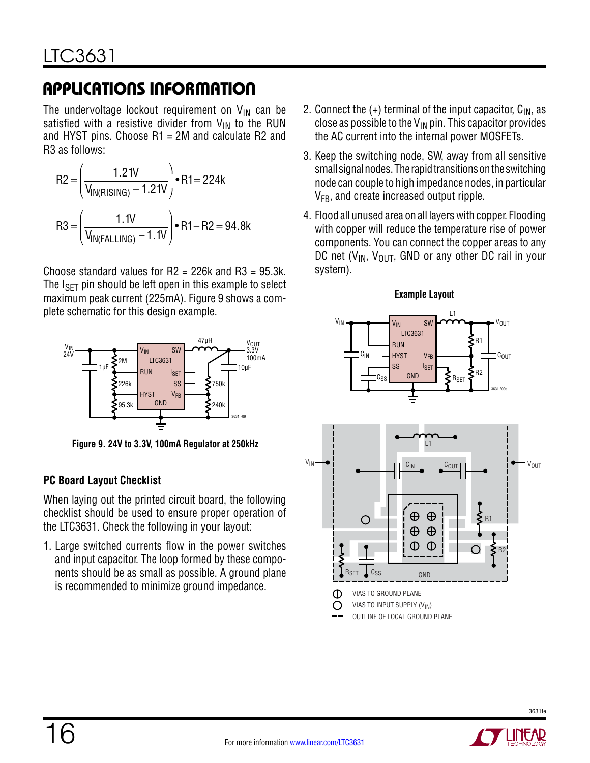The undervoltage lockout requirement on  $\mathsf{V}_{\mathsf{IN}}$  can be satisfied with a resistive divider from  $\mathsf{V}_{\mathsf{IN}}$  to the RUN and HYST pins. Choose R1 = 2M and calculate R2 and R3 as follows:

$$
R2 = \left(\frac{1.21V}{V_{IN(RISING)} - 1.21V}\right) \cdot R1 = 224k
$$
  

$$
R3 = \left(\frac{1.1V}{V_{IN(FALLING)} - 1.1V}\right) \cdot R1 - R2 = 94.8k
$$

Choose standard values for  $R2 = 226k$  and  $R3 = 95.3k$ . The  $I_{\text{SFT}}$  pin should be left open in this example to select maximum peak current (225mA). Figure 9 shows a complete schematic for this design example.



**Figure 9. 24V to 3.3V, 100mA Regulator at 250kHz**

### **PC Board Layout Checklist**

When laying out the printed circuit board, the following checklist should be used to ensure proper operation of the LTC3631. Check the following in your layout:

1. Large switched currents flow in the power switches and input capacitor. The loop formed by these components should be as small as possible. A ground plane is recommended to minimize ground impedance.

- 2. Connect the  $(+)$  terminal of the input capacitor,  $C_{IN}$ , as close as possible to the  $V_{IN}$  pin. This capacitor provides the AC current into the internal power MOSFETs.
- 3. Keep the switching node, SW, away from all sensitive small signal nodes. The rapid transitions on the switching node can couple to high impedance nodes, in particular  $V_{FR}$ , and create increased output ripple.
- 4. Flood all unused area on all layers with copper. Flooding with copper will reduce the temperature rise of power components. You can connect the copper areas to any DC net  $(V_{IN}, V_{OUT}, GND$  or any other DC rail in your system).





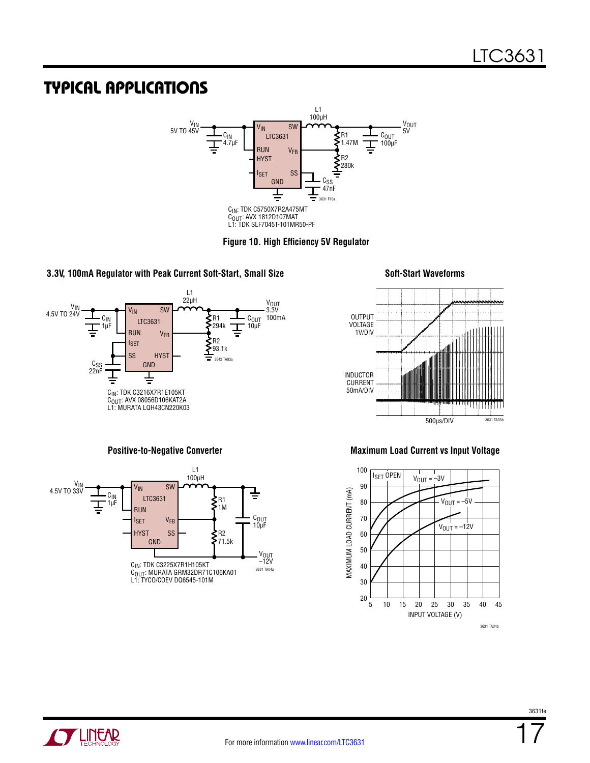### TYPICAL APPLICATIONS





#### **3.3V, 100mA Regulator with Peak Current Soft-Start, Small Size Soft-Start Waveforms**







#### **Positive-to-Negative Converter Maximum Load Current vs Input Voltage**



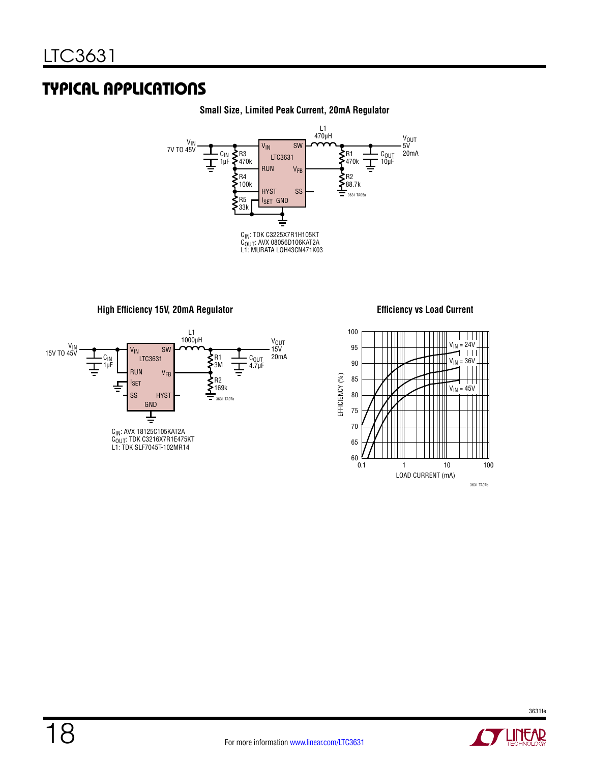## TYPICAL APPLICATIONS



#### **Small Size, Limited Peak Current, 20mA Regulator**

**High Efficiency 15V, 20mA Regulator Efficiency vs Load Current**





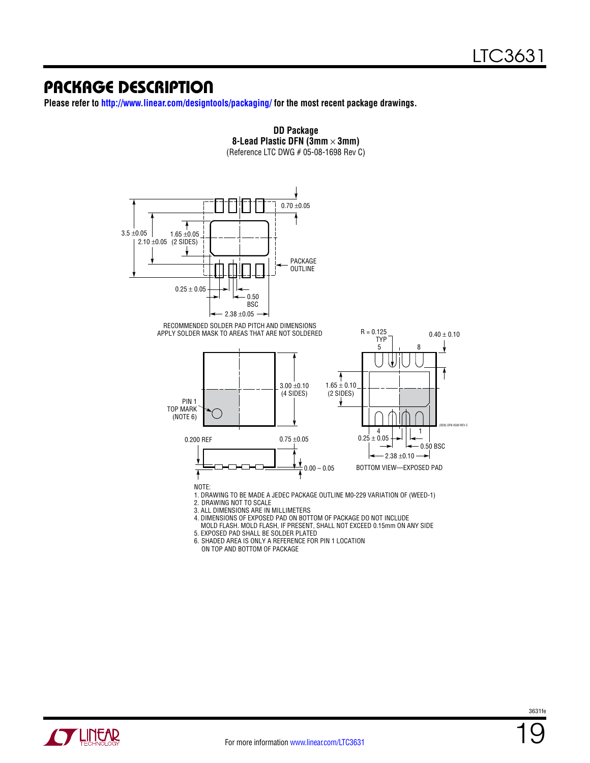### Package Description

**Please refer to<http://www.linear.com/designtools/packaging/> for the most recent package drawings.**



**DD Package**

 MOLD FLASH. MOLD FLASH, IF PRESENT, SHALL NOT EXCEED 0.15mm ON ANY SIDE 5. EXPOSED PAD SHALL BE SOLDER PLATED

6. SHADED AREA IS ONLY A REFERENCE FOR PIN 1 LOCATION

ON TOP AND BOTTOM OF PACKAGE

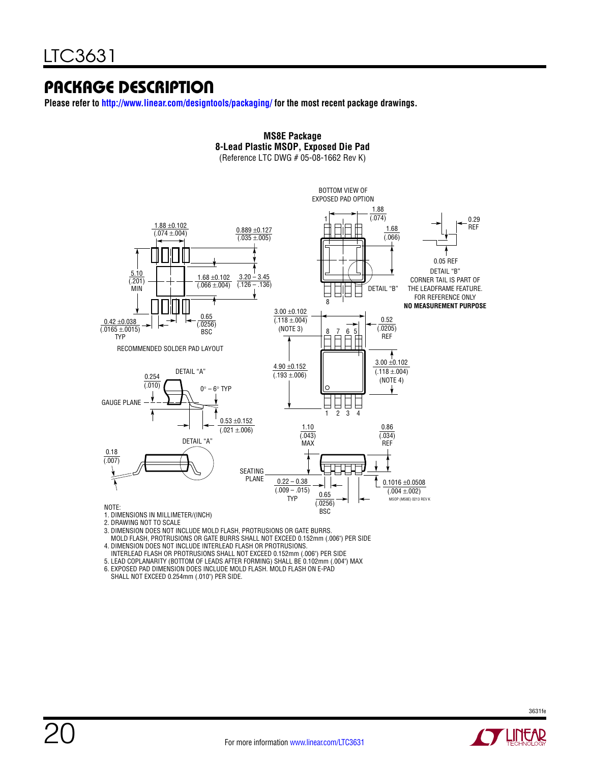### Package Description

**Please refer to <http://www.linear.com/designtools/packaging/>for the most recent package drawings.**



**MS8E Package 8-Lead Plastic MSOP, Exposed Die Pad**

- 1. DIMENSIONS IN MILLIMETER/(INCH) 2. DRAWING NOT TO SCALE
- 3. DIMENSION DOES NOT INCLUDE MOLD FLASH, PROTRUSIONS OR GATE BURRS.
- 
- MOLD FLASH, PROTRUSIONS OR GATE BURRS SHALL NOT EXCEED 0.152mm (.006") PER SIDE 4. DIMENSION DOES NOT INCLUDE INTERLEAD FLASH OR PROTRUSIONS.
- INTERLEAD FLASH OR PROTRUSIONS SHALL NOT EXCEED 0.152mm (.006") PER SIDE
- 5. LEAD COPLANARITY (BOTTOM OF LEADS AFTER FORMING) SHALL BE 0.102mm (.004") MAX

6. EXPOSED PAD DIMENSION DOES INCLUDE MOLD FLASH. MOLD FLASH ON E-PAD SHALL NOT EXCEED 0.254mm (.010") PER SIDE.

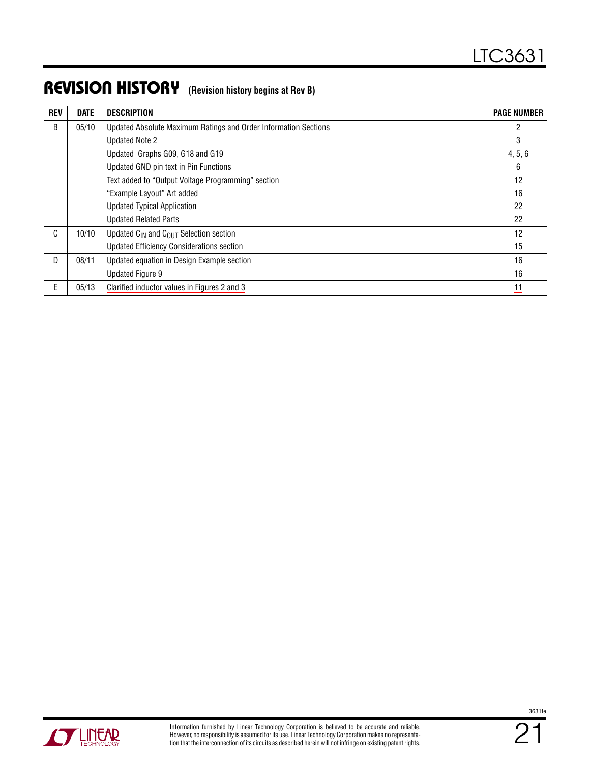### Revision History **(Revision history begins at Rev B)**

| <b>REV</b> | <b>DATE</b> | <b>DESCRIPTION</b>                                              | <b>PAGE NUMBER</b> |
|------------|-------------|-----------------------------------------------------------------|--------------------|
| B          | 05/10       | Updated Absolute Maximum Ratings and Order Information Sections | $\overline{c}$     |
|            |             | <b>Updated Note 2</b>                                           | 3                  |
|            |             | Updated Graphs G09, G18 and G19                                 | 4, 5, 6            |
|            |             | Updated GND pin text in Pin Functions                           | 6                  |
|            |             | Text added to "Output Voltage Programming" section              | 12                 |
|            |             | "Example Layout" Art added                                      | 16                 |
|            |             | <b>Updated Typical Application</b>                              | 22                 |
|            |             | <b>Updated Related Parts</b>                                    | 22                 |
| C          | 10/10       | Updated $C_{\text{IN}}$ and $C_{\text{OUT}}$ Selection section  | 12                 |
|            |             | <b>Updated Efficiency Considerations section</b>                | 15                 |
| D          | 08/11       | Updated equation in Design Example section                      | 16                 |
|            |             | Updated Figure 9                                                | 16                 |
| E          | 05/13       | Clarified inductor values in Figures 2 and 3                    | 11                 |